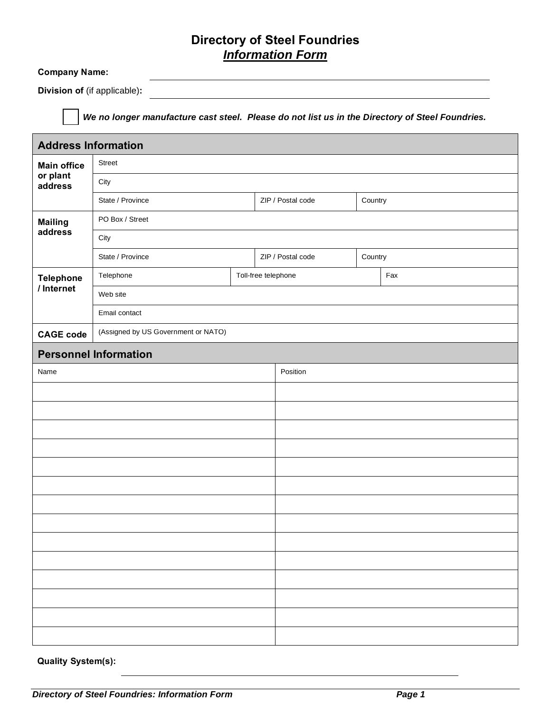## **Directory of Steel Foundries**  *Information Form*

## **Company Name:**

**Division of** (if applicable)**:**

*We no longer manufacture cast steel. Please do not list us in the Directory of Steel Foundries.*

| <b>Address Information</b> |                                     |                     |  |                   |         |     |  |
|----------------------------|-------------------------------------|---------------------|--|-------------------|---------|-----|--|
| <b>Main office</b>         | <b>Street</b>                       |                     |  |                   |         |     |  |
| or plant<br>address        | City                                |                     |  |                   |         |     |  |
|                            | State / Province                    |                     |  | ZIP / Postal code | Country |     |  |
| <b>Mailing</b>             | PO Box / Street                     |                     |  |                   |         |     |  |
| address                    | City                                |                     |  |                   |         |     |  |
|                            | State / Province                    |                     |  | ZIP / Postal code | Country |     |  |
| <b>Telephone</b>           | Telephone                           | Toll-free telephone |  |                   |         | Fax |  |
| / Internet                 | Web site                            |                     |  |                   |         |     |  |
|                            | Email contact                       |                     |  |                   |         |     |  |
| <b>CAGE code</b>           | (Assigned by US Government or NATO) |                     |  |                   |         |     |  |
|                            | <b>Personnel Information</b>        |                     |  |                   |         |     |  |
| Name                       |                                     |                     |  | Position          |         |     |  |
|                            |                                     |                     |  |                   |         |     |  |
|                            |                                     |                     |  |                   |         |     |  |
|                            |                                     |                     |  |                   |         |     |  |
|                            |                                     |                     |  |                   |         |     |  |
|                            |                                     |                     |  |                   |         |     |  |
|                            |                                     |                     |  |                   |         |     |  |
|                            |                                     |                     |  |                   |         |     |  |
|                            |                                     |                     |  |                   |         |     |  |
|                            |                                     |                     |  |                   |         |     |  |
|                            |                                     |                     |  |                   |         |     |  |
|                            |                                     |                     |  |                   |         |     |  |
|                            |                                     |                     |  |                   |         |     |  |
|                            |                                     |                     |  |                   |         |     |  |
|                            |                                     |                     |  |                   |         |     |  |

**Quality System(s):**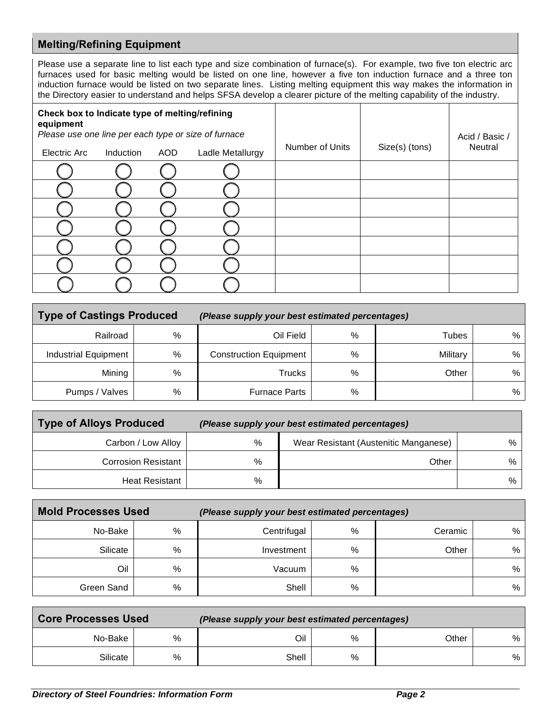## **Melting/Refining Equipment**

Please use a separate line to list each type and size combination of furnace(s). For example, two five ton electric arc furnaces used for basic melting would be listed on one line, however a five ton induction furnace and a three ton induction furnace would be listed on two separate lines. Listing melting equipment this way makes the information in the Directory easier to understand and helps SFSA develop a clearer picture of the melting capability of the industry.

| Check box to Indicate type of melting/refining<br>equipment<br>Please use one line per each type or size of furnace |           |            |                  |                 | Acid / Basic / |         |
|---------------------------------------------------------------------------------------------------------------------|-----------|------------|------------------|-----------------|----------------|---------|
| Electric Arc                                                                                                        | Induction | <b>AOD</b> | Ladle Metallurgy | Number of Units | Size(s) (tons) | Neutral |
|                                                                                                                     |           |            |                  |                 |                |         |
|                                                                                                                     |           |            |                  |                 |                |         |
|                                                                                                                     |           |            |                  |                 |                |         |
|                                                                                                                     |           |            |                  |                 |                |         |
|                                                                                                                     |           |            |                  |                 |                |         |
|                                                                                                                     |           |            |                  |                 |                |         |
|                                                                                                                     |           |            |                  |                 |                |         |

| <b>Type of Castings Produced</b> |   | (Please supply your best estimated percentages) |      |              |      |  |
|----------------------------------|---|-------------------------------------------------|------|--------------|------|--|
| Railroad                         | % | Oil Field                                       | $\%$ | <b>Tubes</b> | $\%$ |  |
| <b>Industrial Equipment</b>      | % | <b>Construction Equipment</b>                   | $\%$ | Military     | %    |  |
| Mining                           | % | Trucks                                          | %    | Other        | %    |  |
| Pumps / Valves                   | % | <b>Furnace Parts</b>                            | %    |              | %    |  |

| <b>Type of Alloys Produced</b> |      | (Please supply your best estimated percentages) |       |
|--------------------------------|------|-------------------------------------------------|-------|
| Carbon / Low Alloy             | %    | Wear Resistant (Austenitic Manganese)           | $%$ 1 |
| <b>Corrosion Resistant</b>     | $\%$ | Other                                           | % l   |
| <b>Heat Resistant</b>          | %    |                                                 | %     |

| <b>Mold Processes Used</b> |   | (Please supply your best estimated percentages) |   |         |   |  |
|----------------------------|---|-------------------------------------------------|---|---------|---|--|
| No-Bake                    | % | Centrifugal                                     | % | Ceramic | % |  |
| Silicate                   | % | Investment                                      | % | Other   | % |  |
| Oil                        | % | Vacuum                                          | % |         | % |  |
| Green Sand                 | % | Shell                                           | % |         | % |  |

| <b>Core Processes Used</b> |   | (Please supply your best estimated percentages) |   |       |   |
|----------------------------|---|-------------------------------------------------|---|-------|---|
| No-Bake                    | % | Oil                                             | % | Other | % |
| Silicate                   | % | Shell                                           | % |       | % |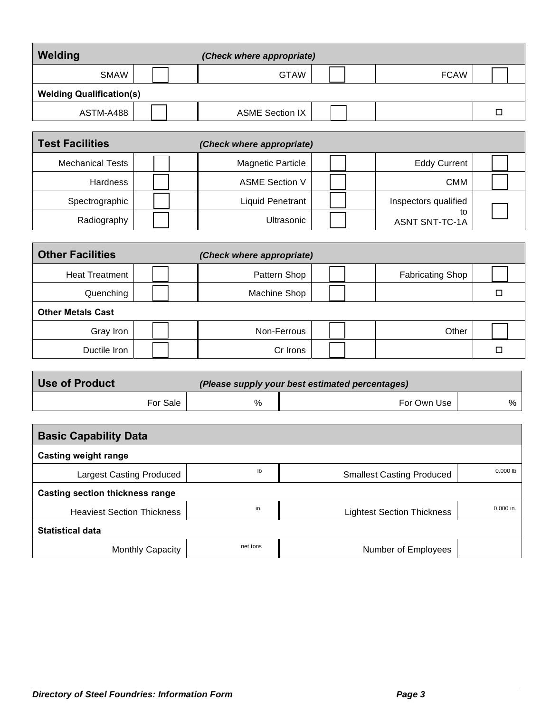| Welding                         |  | (Check where appropriate) |  |             |  |
|---------------------------------|--|---------------------------|--|-------------|--|
| <b>SMAW</b>                     |  | <b>GTAW</b>               |  | <b>FCAW</b> |  |
| <b>Welding Qualification(s)</b> |  |                           |  |             |  |
| ASTM-A488                       |  | <b>ASME Section IX</b>    |  |             |  |
|                                 |  |                           |  |             |  |

| <b>Test Facilities</b>  | (Check where appropriate) |                             |  |
|-------------------------|---------------------------|-----------------------------|--|
| <b>Mechanical Tests</b> | <b>Magnetic Particle</b>  | <b>Eddy Current</b>         |  |
| Hardness                | <b>ASME Section V</b>     | <b>CMM</b>                  |  |
| Spectrographic          | <b>Liquid Penetrant</b>   | Inspectors qualified        |  |
| Radiography             | Ultrasonic                | to<br><b>ASNT SNT-TC-1A</b> |  |

| <b>Other Facilities</b>  | (Check where appropriate) |                         |  |
|--------------------------|---------------------------|-------------------------|--|
| <b>Heat Treatment</b>    | Pattern Shop              | <b>Fabricating Shop</b> |  |
| Quenching                | Machine Shop              |                         |  |
| <b>Other Metals Cast</b> |                           |                         |  |
| Gray Iron                | Non-Ferrous               | Other                   |  |
| Ductile Iron             | Cr Irons                  |                         |  |

| Use of Product | (Please supply your best estimated percentages) |   |             |   |  |
|----------------|-------------------------------------------------|---|-------------|---|--|
|                | For Sale                                        | % | For Own Use | % |  |

| <b>Basic Capability Data</b>      |          |                                   |            |  |  |  |
|-----------------------------------|----------|-----------------------------------|------------|--|--|--|
| <b>Casting weight range</b>       |          |                                   |            |  |  |  |
| <b>Largest Casting Produced</b>   | Ib       | <b>Smallest Casting Produced</b>  | $0.000$ lb |  |  |  |
| Casting section thickness range   |          |                                   |            |  |  |  |
| <b>Heaviest Section Thickness</b> | in.      | <b>Lightest Section Thickness</b> | 0.000 in.  |  |  |  |
| <b>Statistical data</b>           |          |                                   |            |  |  |  |
| <b>Monthly Capacity</b>           | net tons | Number of Employees               |            |  |  |  |